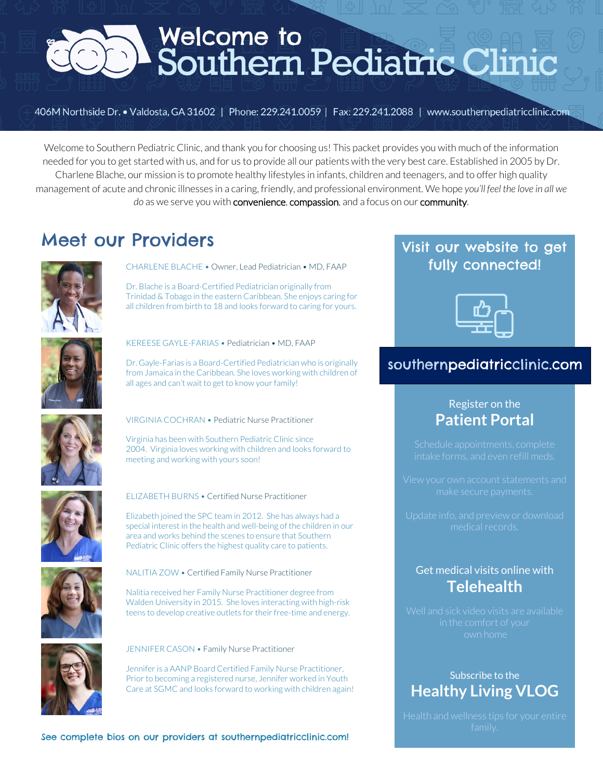

406M Northside Dr. • Valdosta, GA 31602 | Phone: 229.241.0059 | Fax: 229.241.2088 | www.southernpediatricclinic.com

Welcome to Southern Pediatric Clinic, and thank you for choosing us! This packet provides you with much of the information needed for you to get started with us, and for us to provide all our patients with the very best care. Established in 2005 by Dr. Charlene Blache, our mission is to promote healthy lifestyles in infants, children and teenagers, and to offer high quality management of acute and chronic illnesses in a caring, friendly, and professional environment. We hope *you'll feel the love in all we do* as we serve you with convenience, compassion, and a focus on our community.

### Meet our Providers



CHARLENE BLACHE • Owner, Lead Pediatrician • MD, FAAP

Dr. Blache is a Board-Certified Pediatrician originally from Trinidad & Tobago in the eastern Caribbean. She enjoys caring for all children from birth to 18 and looks forward to caring for yours.



KEREESE GAYLE-FARIAS • Pediatrician • MD, FAAP

Dr. Gayle-Farias is a Board-Certified Pediatrician who is originally from Jamaica in the Caribbean. She loves working with children of all ages and can't wait to get to know your family!



VIRGINIA COCHRAN • Pediatric Nurse Practitioner

Virginia has been with Southern Pediatric Clinic since 2004. Virginia loves working with children and looks forward to meeting and working with yours soon!



ELIZABETH BURNS • Certified Nurse Practitioner

Elizabeth joined the SPC team in 2012. She has always had a special interest in the health and well-being of the children in our area and works behind the scenes to ensure that Southern Pediatric Clinic offers the highest quality care to patients.



NALITIA ZOW • Certified Family Nurse Practitioner

Nalitia received her Family Nurse Practitioner degree from Walden University in 2015. She loves interacting with high-risk teens to develop creative outlets for their free-time and energy.



JENNIFER CASON • Family Nurse Practitioner

Jennifer is a AANP Board Certified Family Nurse Practitioner, Prior to becoming a registered nurse, Jennifer worked in Youth Care at SGMC and looks forward to working with children again!

See complete bios on our providers at southernpediatricclinic.com!

### Visit our website to get fully connected!



### southernpediatricclinic.com

### Register on the **Patient Portal**

### Get medical visits online with **Telehealth**

### Subscribe to the **Healthy Living VLOG**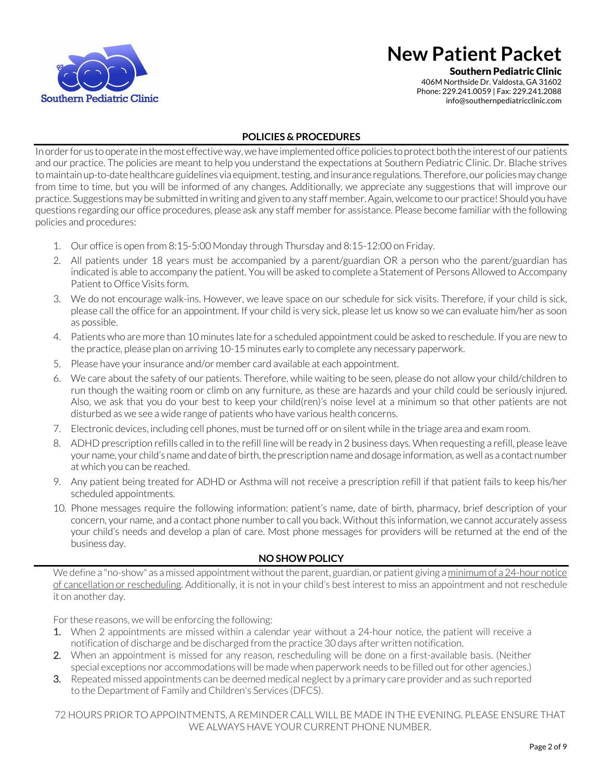

Southern Pediatric Clinic

406M Northside Dr. Valdosta, GA 31602 Phone: 229.241.0059 | Fax: 229.241.2088 info@southernpediatricclinic.com

#### **POLICIES & PROCEDURES**

In order for us to operate in the most effective way, we have implemented office policies to protect both the interest of our patients and our practice. The policies are meant to help you understand the expectations at Southern Pediatric Clinic. Dr. Blache strives to maintain up-to-date healthcare guidelines via equipment, testing, and insurance regulations. Therefore, our policies may change from time to time, but you will be informed of any changes. Additionally, we appreciate any suggestions that will improve our practice. Suggestions may be submitted in writing and given to any staff member. Again, welcome to our practice! Should you have questions regarding our office procedures, please ask any staff member for assistance. Please become familiar with the following policies and procedures:

- 1. Our office is open from 8:15-5:00 Monday through Thursday and 8:15-12:00 on Friday.
- 2. All patients under 18 years must be accompanied by a parent/guardian OR a person who the parent/guardian has indicated is able to accompany the patient. You will be asked to complete a Statement of Persons Allowed to Accompany Patient to Office Visits form.
- 3. We do not encourage walk-ins. However, we leave space on our schedule for sick visits. Therefore, if your child is sick, please call the office for an appointment. If your child is very sick, please let us know so we can evaluate him/her as soon as possible.
- 4. Patients who are more than 10 minutes late for a scheduled appointment could be asked to reschedule. If you are new to the practice, please plan on arriving 10-15 minutes early to complete any necessary paperwork.
- 5. Please have your insurance and/or member card available at each appointment.
- 6. We care about the safety of our patients. Therefore, while waiting to be seen, please do not allow your child/children to run though the waiting room or climb on any furniture, as these are hazards and your child could be seriously injured. Also, we ask that you do your best to keep your child(ren)'s noise level at a minimum so that other patients are not disturbed as we see a wide range of patients who have various health concerns.
- 7. Electronic devices, including cell phones, must be turned off or on silent while in the triage area and exam room.
- 8. ADHD prescription refills called in to the refill line will be ready in 2 business days. When requesting a refill, please leave your name, your child's name and date of birth, the prescription name and dosage information, as well as a contact number at which you can be reached.
- 9. Any patient being treated for ADHD or Asthma will not receive a prescription refill if that patient fails to keep his/her scheduled appointments.
- 10. Phone messages require the following information: patient's name, date of birth, pharmacy, brief description of your concern, your name, and a contact phone number to call you back. Without this information, we cannot accurately assess your child's needs and develop a plan of care. Most phone messages for providers will be returned at the end of the business day.

#### **NO SHOW POLICY**

We define a "no-show" as a missed appointment without the parent, guardian, or patient giving a minimum of a 24-hour notice of cancellation or rescheduling. Additionally, it is not in your child's best interest to miss an appointment and not reschedule it on another day.

For these reasons, we will be enforcing the following:

- 1. When 2 appointments are missed within a calendar year without a 24-hour notice, the patient will receive a notification of discharge and be discharged from the practice 30 days after written notification.
- 2. When an appointment is missed for any reason, rescheduling will be done on a first-available basis. (Neither special exceptions nor accommodations will be made when paperwork needs to be filled out for other agencies.)
- 3. Repeated missed appointments can be deemed medical neglect by a primary care provider and as such reported to the Department of Family and Children's Services (DFCS).

72 HOURS PRIOR TO APPOINTMENTS, A REMINDER CALL WILL BE MADE IN THE EVENING. PLEASE ENSURE THAT WE ALWAYS HAVE YOUR CURRENT PHONE NUMBER.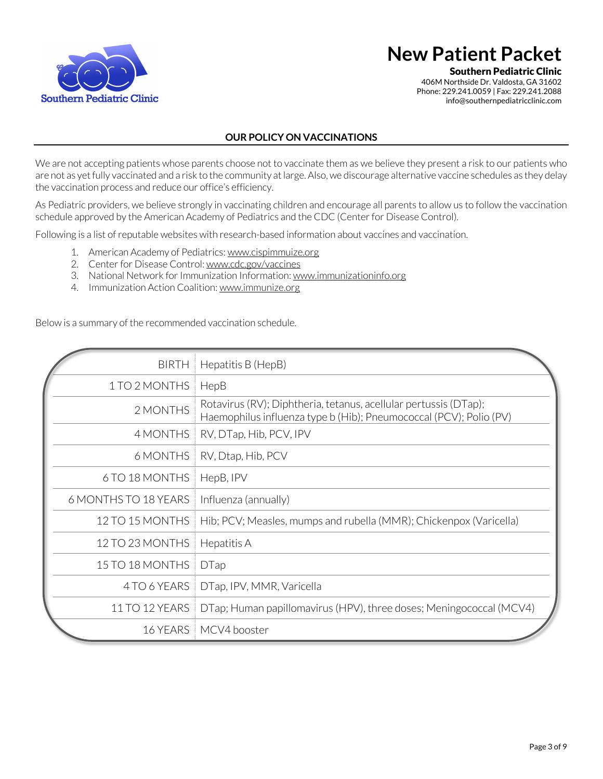

Southern Pediatric Clinic

406M Northside Dr. Valdosta, GA 31602 Phone: 229.241.0059 | Fax: 229.241.2088 info@southernpediatricclinic.com

#### **OUR POLICY ON VACCINATIONS**

We are not accepting patients whose parents choose not to vaccinate them as we believe they present a risk to our patients who are not as yet fully vaccinated and a risk to the community at large. Also, we discourage alternative vaccine schedules as they delay the vaccination process and reduce our office's efficiency.

As Pediatric providers, we believe strongly in vaccinating children and encourage all parents to allow us to follow the vaccination schedule approved by the American Academy of Pediatrics and the CDC (Center for Disease Control).

Following is a list of reputable websites with research-based information about vaccines and vaccination.

- 1. American Academy of Pediatrics: www.cispimmuize.org
- 2. Center for Disease Control: www.cdc.gov/vaccines
- 3. National Network for Immunization Information: www.immunizationinfo.org
- 4. Immunization Action Coalition: www.immunize.org

Below is a summary of the recommended vaccination schedule.

| <b>BIRTH</b>         | Hepatitis B (HepB)                                                                                                                     |
|----------------------|----------------------------------------------------------------------------------------------------------------------------------------|
| 1 TO 2 MONTHS        | HepB                                                                                                                                   |
| 2 MONTHS             | Rotavirus (RV); Diphtheria, tetanus, acellular pertussis (DTap);<br>Haemophilus influenza type b (Hib); Pneumococcal (PCV); Polio (PV) |
| 4 MONTHS             | RV, DTap, Hib, PCV, IPV                                                                                                                |
| 6 MONTHS             | RV, Dtap, Hib, PCV                                                                                                                     |
| 6 TO 18 MONTHS       | HepB, IPV                                                                                                                              |
| 6 MONTHS TO 18 YEARS | Influenza (annually)                                                                                                                   |
| 12 TO 15 MONTHS      | Hib; PCV; Measles, mumps and rubella (MMR); Chickenpox (Varicella)                                                                     |
| 12 TO 23 MONTHS      | Hepatitis A                                                                                                                            |
| 15 TO 18 MONTHS      | <b>DTap</b>                                                                                                                            |
| 4 TO 6 YEARS         | DTap, IPV, MMR, Varicella                                                                                                              |
| 11 TO 12 YEARS       | DTap; Human papillomavirus (HPV), three doses; Meningococcal (MCV4)                                                                    |
| 16 YEARS             | MCV4 booster                                                                                                                           |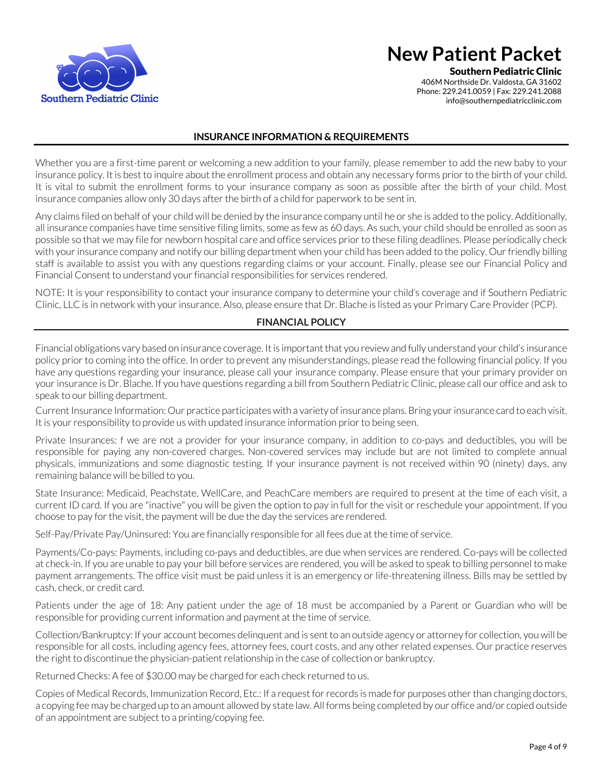

Southern Pediatric Clinic

406M Northside Dr. Valdosta, GA 31602 Phone: 229.241.0059 | Fax: 229.241.2088 info@southernpediatricclinic.com

#### **INSURANCE INFORMATION & REQUIREMENTS**

Whether you are a first-time parent or welcoming a new addition to your family, please remember to add the new baby to your insurance policy. It is best to inquire about the enrollment process and obtain any necessary forms prior to the birth of your child. It is vital to submit the enrollment forms to your insurance company as soon as possible after the birth of your child. Most insurance companies allow only 30 days after the birth of a child for paperwork to be sent in.

Any claims filed on behalf of your child will be denied by the insurance company until he or she is added to the policy. Additionally, all insurance companies have time sensitive filing limits, some as few as 60 days. As such, your child should be enrolled as soon as possible so that we may file for newborn hospital care and office services prior to these filing deadlines. Please periodically check with your insurance company and notify our billing department when your child has been added to the policy. Our friendly billing staff is available to assist you with any questions regarding claims or your account. Finally, please see our Financial Policy and Financial Consent to understand your financial responsibilities for services rendered.

NOTE: It is your responsibility to contact your insurance company to determine your child's coverage and if Southern Pediatric Clinic, LLC is in network with your insurance. Also, please ensure that Dr. Blache is listed as your Primary Care Provider (PCP).

#### **FINANCIAL POLICY**

Financial obligations vary based on insurance coverage. It is important that you review and fully understand your child's insurance policy prior to coming into the office. In order to prevent any misunderstandings, please read the following financial policy. If you have any questions regarding your insurance, please call your insurance company. Please ensure that your primary provider on your insurance is Dr. Blache. If you have questions regarding a bill from Southern Pediatric Clinic, please call our office and ask to speak to our billing department.

Current Insurance Information: Our practice participates with a variety of insurance plans. Bring your insurance card to each visit. It is your responsibility to provide us with updated insurance information prior to being seen.

Private Insurances: f we are not a provider for your insurance company, in addition to co-pays and deductibles, you will be responsible for paying any non-covered charges. Non-covered services may include but are not limited to complete annual physicals, immunizations and some diagnostic testing. If your insurance payment is not received within 90 (ninety) days, any remaining balance will be billed to you.

State Insurance: Medicaid, Peachstate, WellCare, and PeachCare members are required to present at the time of each visit, a current ID card. If you are "inactive" you will be given the option to pay in full for the visit or reschedule your appointment. If you choose to pay for the visit, the payment will be due the day the services are rendered.

Self-Pay/Private Pay/Uninsured: You are financially responsible for all fees due at the time of service.

Payments/Co-pays: Payments, including co-pays and deductibles, are due when services are rendered. Co-pays will be collected at check-in. If you are unable to pay your bill before services are rendered, you will be asked to speak to billing personnel to make payment arrangements. The office visit must be paid unless it is an emergency or life-threatening illness. Bills may be settled by cash, check, or credit card.

Patients under the age of 18: Any patient under the age of 18 must be accompanied by a Parent or Guardian who will be responsible for providing current information and payment at the time of service.

Collection/Bankruptcy: If your account becomes delinquent and is sent to an outside agency or attorney for collection, you will be responsible for all costs, including agency fees, attorney fees, court costs, and any other related expenses. Our practice reserves the right to discontinue the physician-patient relationship in the case of collection or bankruptcy.

Returned Checks: A fee of \$30.00 may be charged for each check returned to us.

Copies of Medical Records, Immunization Record, Etc.: If a request for records is made for purposes other than changing doctors, a copying fee may be charged up to an amount allowed by state law. All forms being completed by our office and/or copied outside of an appointment are subject to a printing/copying fee.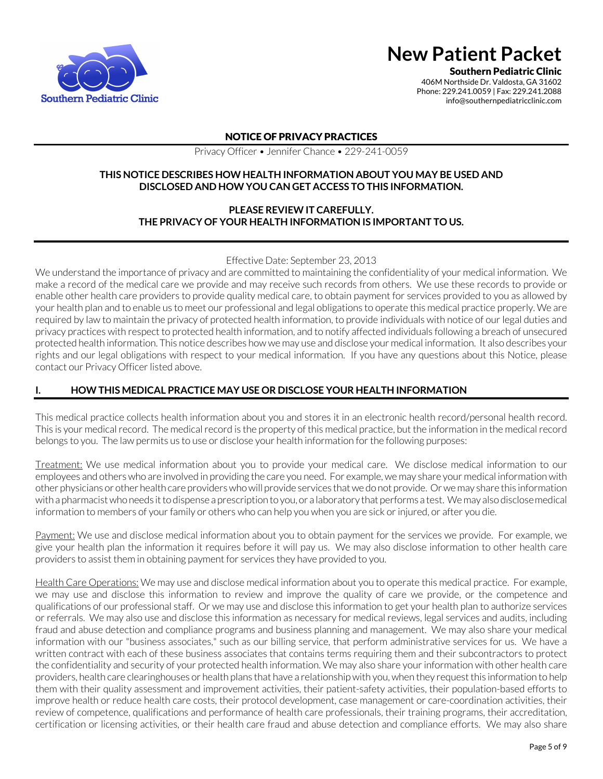

Southern Pediatric Clinic

406M Northside Dr. Valdosta, GA 31602 Phone: 229.241.0059 | Fax: 229.241.2088 info@southernpediatricclinic.com

#### NOTICE OF PRIVACY PRACTICES

Privacy Officer • Jennifer Chance • 229-241-0059

#### **THIS NOTICE DESCRIBES HOW HEALTH INFORMATION ABOUT YOU MAY BE USED AND DISCLOSED AND HOW YOU CAN GET ACCESS TO THIS INFORMATION.**

#### **PLEASE REVIEW IT CAREFULLY. THE PRIVACY OF YOUR HEALTH INFORMATION IS IMPORTANT TO US.**

#### Effective Date: September 23, 2013

We understand the importance of privacy and are committed to maintaining the confidentiality of your medical information. We make a record of the medical care we provide and may receive such records from others. We use these records to provide or enable other health care providers to provide quality medical care, to obtain payment for services provided to you as allowed by your health plan and to enable us to meet our professional and legal obligations to operate this medical practice properly. We are required by law to maintain the privacy of protected health information, to provide individuals with notice of our legal duties and privacy practices with respect to protected health information, and to notify affected individuals following a breach of unsecured protected health information. This notice describes how we may use and disclose your medical information. It also describes your rights and our legal obligations with respect to your medical information. If you have any questions about this Notice, please contact our Privacy Officer listed above.

### **I. HOW THIS MEDICAL PRACTICE MAY USE OR DISCLOSE YOUR HEALTH INFORMATION**

This medical practice collects health information about you and stores it in an electronic health record/personal health record. This is your medical record. The medical record is the property of this medical practice, but the information in the medical record belongs to you. The law permits us to use or disclose your health information for the following purposes:

Treatment: We use medical information about you to provide your medical care. We disclose medical information to our employees and others who are involved in providing the care you need. For example, we may share your medical information with other physicians or other health care providers who will provide services that we do not provide. Or we may share this information with a pharmacist who needs it to dispense a prescription to you, or a laboratory that performs a test. We may also disclosemedical information to members of your family or others who can help you when you are sick or injured, or after you die.

Payment: We use and disclose medical information about you to obtain payment for the services we provide. For example, we give your health plan the information it requires before it will pay us. We may also disclose information to other health care providers to assist them in obtaining payment for services they have provided to you.

Health Care Operations: We may use and disclose medical information about you to operate this medical practice. For example, we may use and disclose this information to review and improve the quality of care we provide, or the competence and qualifications of our professional staff. Or we may use and disclose this information to get your health plan to authorize services or referrals. We may also use and disclose this information as necessary for medical reviews, legal services and audits, including fraud and abuse detection and compliance programs and business planning and management. We may also share your medical information with our "business associates," such as our billing service, that perform administrative services for us. We have a written contract with each of these business associates that contains terms requiring them and their subcontractors to protect the confidentiality and security of your protected health information. We may also share your information with other health care providers, health care clearinghouses or health plans that have a relationship with you, when they request this information to help them with their quality assessment and improvement activities, their patient-safety activities, their population-based efforts to improve health or reduce health care costs, their protocol development, case management or care-coordination activities, their review of competence, qualifications and performance of health care professionals, their training programs, their accreditation, certification or licensing activities, or their health care fraud and abuse detection and compliance efforts. We may also share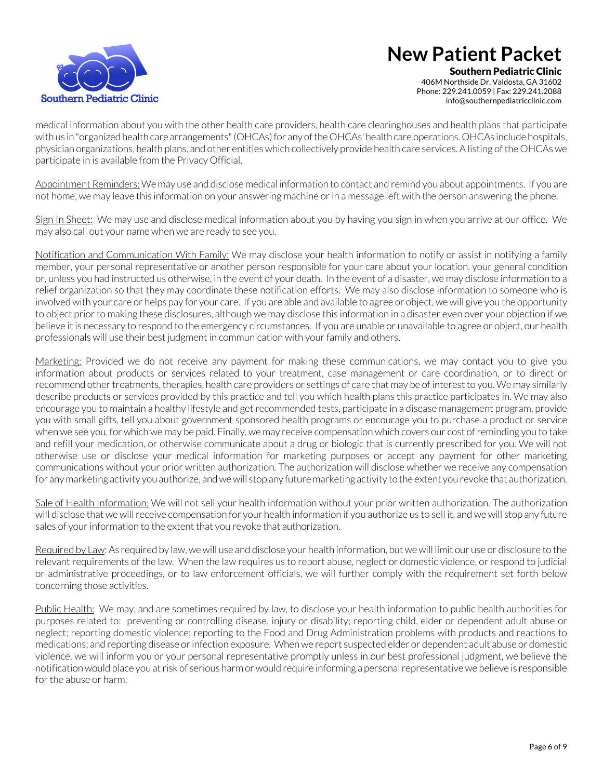

Southern Pediatric Clinic 406M Northside Dr. Valdosta, GA 31602 Phone: 229.241.0059 | Fax: 229.241.2088 info@southernpediatricclinic.com

medical information about you with the other health care providers, health care clearinghouses and health plans that participate with us in "organized health care arrangements" (OHCAs) for any of the OHCAs' health care operations. OHCAs include hospitals, physician organizations, health plans, and other entities which collectively provide health care services. A listing of the OHCAs we participate in is available from the Privacy Official.

Appointment Reminders: We may use and disclose medical information to contact and remind you about appointments. If you are not home, we may leave this information on your answering machine or in a message left with the person answering the phone.

Sign In Sheet: We may use and disclose medical information about you by having you sign in when you arrive at our office. We may also call out your name when we are ready to see you.

Notification and Communication With Family: We may disclose your health information to notify or assist in notifying a family member, your personal representative or another person responsible for your care about your location, your general condition or, unless you had instructed us otherwise, in the event of your death. In the event of a disaster, we may disclose information to a relief organization so that they may coordinate these notification efforts. We may also disclose information to someone who is involved with your care or helps pay for your care. If you are able and available to agree or object, we will give you the opportunity to object prior to making these disclosures, although we may disclose this information in a disaster even over your objection if we believe it is necessary to respond to the emergency circumstances. If you are unable or unavailable to agree or object, our health professionals will use their best judgment in communication with your family and others.

Marketing: Provided we do not receive any payment for making these communications, we may contact you to give you information about products or services related to your treatment, case management or care coordination, or to direct or recommend other treatments, therapies, health care providers or settings of care that may be of interest to you. We may similarly describe products or services provided by this practice and tell you which health plans this practice participates in. We may also encourage you to maintain a healthy lifestyle and get recommended tests, participate in a disease management program, provide you with small gifts, tell you about government sponsored health programs or encourage you to purchase a product or service when we see you, for which we may be paid. Finally, we may receive compensation which covers our cost of reminding you to take and refill your medication, or otherwise communicate about a drug or biologic that is currently prescribed for you. We will not otherwise use or disclose your medical information for marketing purposes or accept any payment for other marketing communications without your prior written authorization. The authorization will disclose whether we receive any compensation for any marketing activity you authorize, and we will stop any future marketing activity to the extent you revoke that authorization.

Sale of Health Information: We will not sell your health information without your prior written authorization. The authorization will disclose that we will receive compensation for your health information if you authorize us to sell it, and we will stop any future sales of your information to the extent that you revoke that authorization.

Required by Law: As required by law, we will use and disclose your health information, but we will limit our use or disclosure to the relevant requirements of the law. When the law requires us to report abuse, neglect or domestic violence, or respond to judicial or administrative proceedings, or to law enforcement officials, we will further comply with the requirement set forth below concerning those activities.

Public Health: We may, and are sometimes required by law, to disclose your health information to public health authorities for purposes related to: preventing or controlling disease, injury or disability; reporting child, elder or dependent adult abuse or neglect; reporting domestic violence; reporting to the Food and Drug Administration problems with products and reactions to medications; and reporting disease or infection exposure. When we report suspected elder or dependent adult abuse or domestic violence, we will inform you or your personal representative promptly unless in our best professional judgment, we believe the notification would place you at risk of serious harm or would require informing a personal representative we believe is responsible for the abuse or harm.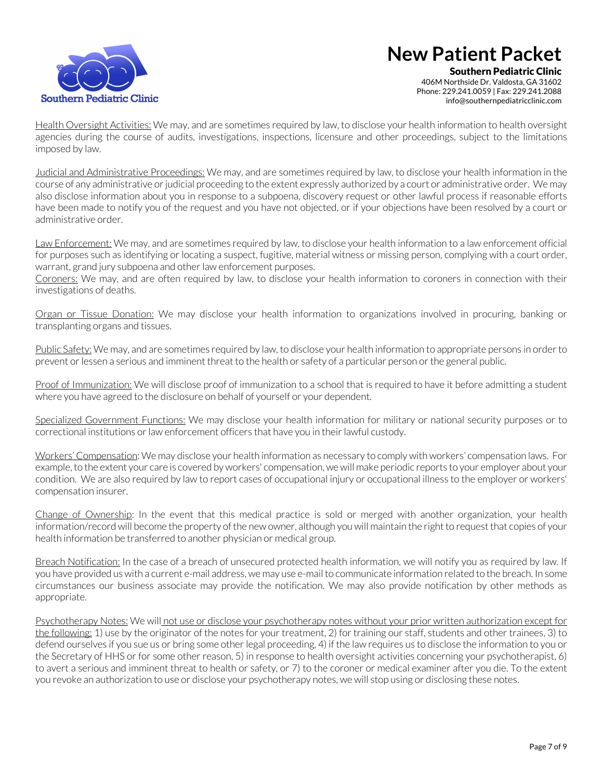

Southern Pediatric Clinic 406M Northside Dr. Valdosta, GA 31602 Phone: 229.241.0059 | Fax: 229.241.2088 info@southernpediatricclinic.com

Health Oversight Activities: We may, and are sometimes required by law, to disclose your health information to health oversight agencies during the course of audits, investigations, inspections, licensure and other proceedings, subject to the limitations imposed by law.

Judicial and Administrative Proceedings: We may, and are sometimes required by law, to disclose your health information in the course of any administrative or judicial proceeding to the extent expressly authorized by a court or administrative order. We may also disclose information about you in response to a subpoena, discovery request or other lawful process if reasonable efforts have been made to notify you of the request and you have not objected, or if your objections have been resolved by a court or administrative order.

Law Enforcement: We may, and are sometimes required by law, to disclose your health information to a law enforcement official for purposes such as identifying or locating a suspect, fugitive, material witness or missing person, complying with a court order, warrant, grand jury subpoena and other law enforcement purposes.

Coroners: We may, and are often required by law, to disclose your health information to coroners in connection with their investigations of deaths.

Organ or Tissue Donation: We may disclose your health information to organizations involved in procuring, banking or transplanting organs and tissues.

Public Safety: We may, and are sometimes required by law, to disclose your health information to appropriate persons in order to prevent or lessen a serious and imminent threat to the health or safety of a particular person or the general public.

Proof of Immunization: We will disclose proof of immunization to a school that is required to have it before admitting a student where you have agreed to the disclosure on behalf of yourself or your dependent.

Specialized Government Functions: We may disclose your health information for military or national security purposes or to correctional institutions or law enforcement officers that have you in their lawful custody.

Workers' Compensation: We may disclose your health information as necessary to comply with workers' compensation laws. For example, to the extent your care is covered by workers' compensation, we will make periodic reports to your employer about your condition. We are also required by law to report cases of occupational injury or occupational illness to the employer or workers' compensation insurer.

Change of Ownership: In the event that this medical practice is sold or merged with another organization, your health information/record will become the property of the new owner, although you will maintain the right to request that copies of your health information be transferred to another physician or medical group.

Breach Notification: In the case of a breach of unsecured protected health information, we will notify you as required by law. If you have provided us with a current e-mail address, we may use e-mail to communicate information related to the breach. In some circumstances our business associate may provide the notification. We may also provide notification by other methods as appropriate.

Psychotherapy Notes: We will not use or disclose your psychotherapy notes without your prior written authorization except for the following: 1) use by the originator of the notes for your treatment, 2) for training our staff, students and other trainees, 3) to defend ourselves if you sue us or bring some other legal proceeding, 4) if the law requires us to disclose the information to you or the Secretary of HHS or for some other reason, 5) in response to health oversight activities concerning your psychotherapist, 6) to avert a serious and imminent threat to health or safety, or 7) to the coroner or medical examiner after you die. To the extent you revoke an authorization to use or disclose your psychotherapy notes, we will stop using or disclosing these notes.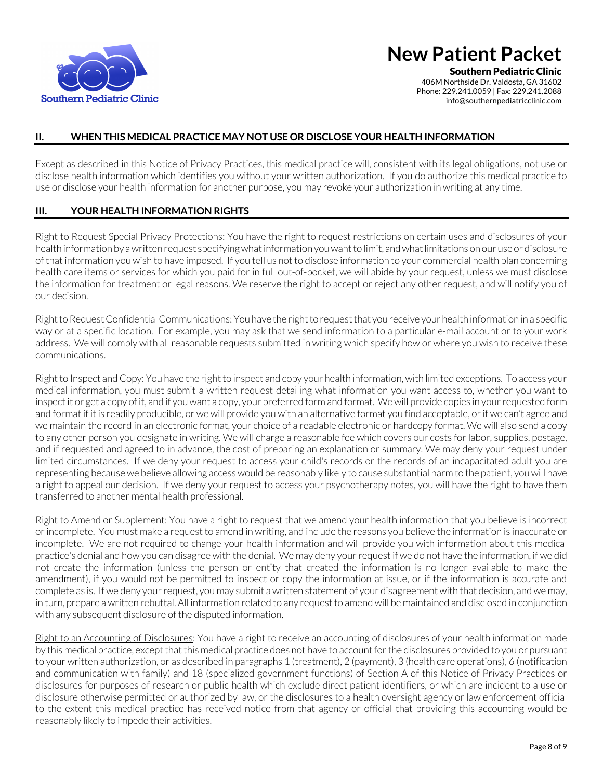

Southern Pediatric Clinic

406M Northside Dr. Valdosta, GA 31602 Phone: 229.241.0059 | Fax: 229.241.2088 info@southernpediatricclinic.com

#### **II. WHEN THIS MEDICAL PRACTICE MAY NOT USE OR DISCLOSE YOUR HEALTH INFORMATION**

Except as described in this Notice of Privacy Practices, this medical practice will, consistent with its legal obligations, not use or disclose health information which identifies you without your written authorization. If you do authorize this medical practice to use or disclose your health information for another purpose, you may revoke your authorization in writing at any time.

#### **III. YOUR HEALTH INFORMATION RIGHTS**

Right to Request Special Privacy Protections: You have the right to request restrictions on certain uses and disclosures of your health information by a written request specifying what information you want to limit, and what limitations on our use or disclosure of that information you wish to have imposed. If you tell us not to disclose information to your commercial health plan concerning health care items or services for which you paid for in full out-of-pocket, we will abide by your request, unless we must disclose the information for treatment or legal reasons. We reserve the right to accept or reject any other request, and will notify you of our decision.

Right to Request Confidential Communications: You have the right to request that you receive your health information in a specific way or at a specific location. For example, you may ask that we send information to a particular e-mail account or to your work address. We will comply with all reasonable requests submitted in writing which specify how or where you wish to receive these communications.

Right to Inspect and Copy: You have the right to inspect and copy your health information, with limited exceptions. To access your medical information, you must submit a written request detailing what information you want access to, whether you want to inspect it or get a copy of it, and if you want a copy, your preferred form and format. We will provide copies in your requested form and format if it is readily producible, or we will provide you with an alternative format you find acceptable, or if we can't agree and we maintain the record in an electronic format, your choice of a readable electronic or hardcopy format. We will also send a copy to any other person you designate in writing. We will charge a reasonable fee which covers our costs for labor, supplies, postage, and if requested and agreed to in advance, the cost of preparing an explanation or summary. We may deny your request under limited circumstances. If we deny your request to access your child's records or the records of an incapacitated adult you are representing because we believe allowing access would be reasonably likely to cause substantial harm to the patient, you will have a right to appeal our decision. If we deny your request to access your psychotherapy notes, you will have the right to have them transferred to another mental health professional.

Right to Amend or Supplement: You have a right to request that we amend your health information that you believe is incorrect or incomplete. You must make a request to amend in writing, and include the reasons you believe the information is inaccurate or incomplete. We are not required to change your health information and will provide you with information about this medical practice's denial and how you can disagree with the denial. We may deny your request if we do not have the information, if we did not create the information (unless the person or entity that created the information is no longer available to make the amendment), if you would not be permitted to inspect or copy the information at issue, or if the information is accurate and complete as is. If we deny your request, you may submit a written statement of your disagreement with that decision, and we may, in turn, prepare a written rebuttal. All information related to any request to amend will be maintained and disclosed in conjunction with any subsequent disclosure of the disputed information.

Right to an Accounting of Disclosures: You have a right to receive an accounting of disclosures of your health information made by this medical practice, except that this medical practice does not have to account for the disclosures provided to you or pursuant to your written authorization, or as described in paragraphs 1 (treatment), 2 (payment), 3 (health care operations), 6 (notification and communication with family) and 18 (specialized government functions) of Section A of this Notice of Privacy Practices or disclosures for purposes of research or public health which exclude direct patient identifiers, or which are incident to a use or disclosure otherwise permitted or authorized by law, or the disclosures to a health oversight agency or law enforcement official to the extent this medical practice has received notice from that agency or official that providing this accounting would be reasonably likely to impede their activities.